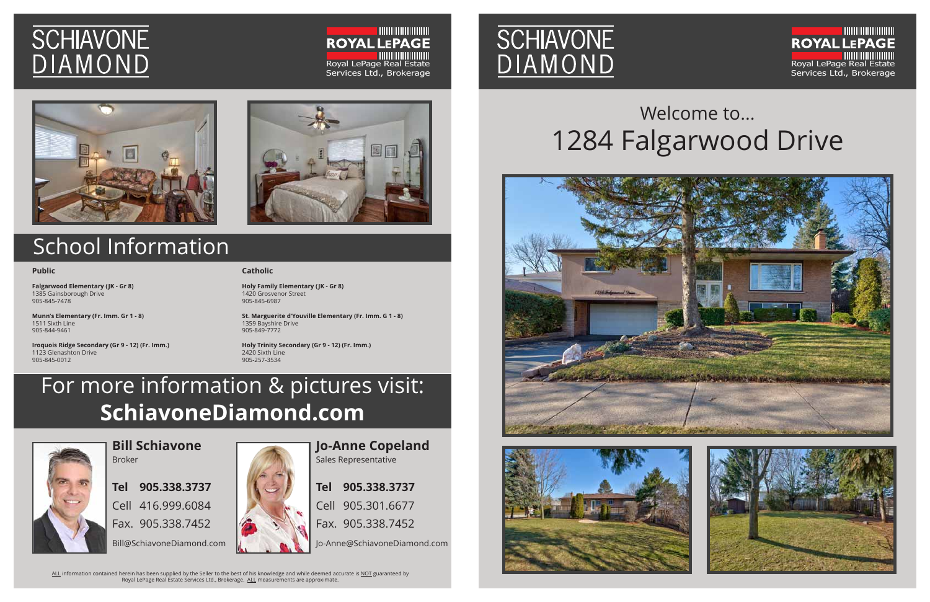# **SCHIAVONE** DIAMOND

**INININININININI ROYAL LEPAGE** Royal LePage Real Estate Services Ltd., Brokerage





## Welcome to... 1284 Falgarwood Drive







#### **Public**

**Falgarwood Elementary (JK - Gr 8)** 1385 Gainsborough Drive 905-845-7478

**Munn's Elementary (Fr. Imm. Gr 1 - 8)** 1511 Sixth Line 905-844-9461

**Iroquois Ridge Secondary (Gr 9 - 12) (Fr. Imm.)** 1123 Glenashton Drive 905-845-0012

### **Catholic**

**Holy Family Elementary (JK - Gr 8)** 1420 Grosvenor Street 905-845-6987

ALL information contained herein has been supplied by the Seller to the best of his knowledge and while deemed accurate is NOT guaranteed by Royal LePage Real Estate Services Ltd., Brokerage. ALL measurements are approximate.

**St. Marguerite d'Youville Elementary (Fr. Imm. G 1 - 8)** 1359 Bayshire Drive 905-849-7772

**Holy Trinity Secondary (Gr 9 - 12) (Fr. Imm.)** 2420 Sixth Line 905-257-3534

## For more information & pictures visit: **SchiavoneDiamond.com**



## School Information

**Bill Schiavone** Broker

**Tel 905.338.3737** Cell 416.999.6084 Fax. 905.338.7452

Bill@SchiavoneDiamond.com



**Jo-Anne Copeland** Sales Representative

**Tel 905.338.3737** Cell 905.301.6677

Fax. 905.338.7452

Jo-Anne@SchiavoneDiamond.com

**SCHIAVONE** 

**DIAMOND**